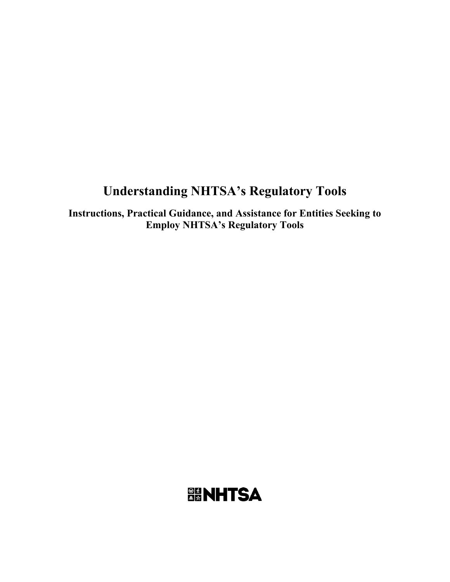# **Understanding NHTSA's Regulatory Tools**

**Instructions, Practical Guidance, and Assistance for Entities Seeking to Employ NHTSA's Regulatory Tools**

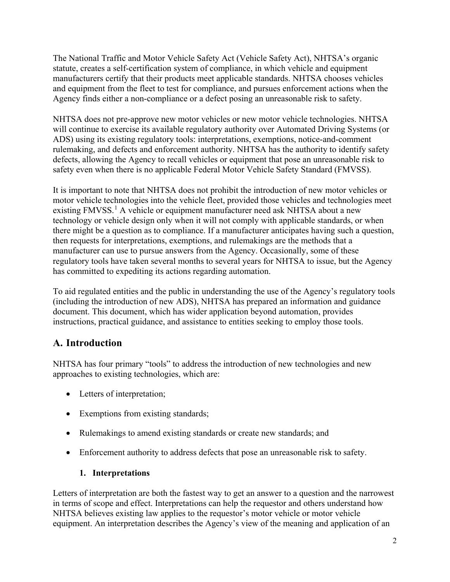The National Traffic and Motor Vehicle Safety Act (Vehicle Safety Act), NHTSA's organic statute, creates a self-certification system of compliance, in which vehicle and equipment manufacturers certify that their products meet applicable standards. NHTSA chooses vehicles and equipment from the fleet to test for compliance, and pursues enforcement actions when the Agency finds either a non-compliance or a defect posing an unreasonable risk to safety.

NHTSA does not pre-approve new motor vehicles or new motor vehicle technologies. NHTSA will continue to exercise its available regulatory authority over Automated Driving Systems (or ADS) using its existing regulatory tools: interpretations, exemptions, notice-and-comment rulemaking, and defects and enforcement authority. NHTSA has the authority to identify safety defects, allowing the Agency to recall vehicles or equipment that pose an unreasonable risk to safety even when there is no applicable Federal Motor Vehicle Safety Standard (FMVSS).

It is important to note that NHTSA does not prohibit the introduction of new motor vehicles or motor vehicle technologies into the vehicle fleet, provided those vehicles and technologies meet existing FMVSS.<sup>[1](#page-21-0)</sup> A vehicle or equipment manufacturer need ask NHTSA about a new technology or vehicle design only when it will not comply with applicable standards, or when there might be a question as to compliance. If a manufacturer anticipates having such a question, then requests for interpretations, exemptions, and rulemakings are the methods that a manufacturer can use to pursue answers from the Agency. Occasionally, some of these regulatory tools have taken several months to several years for NHTSA to issue, but the Agency has committed to expediting its actions regarding automation.

To aid regulated entities and the public in understanding the use of the Agency's regulatory tools (including the introduction of new ADS), NHTSA has prepared an information and guidance document. This document, which has wider application beyond automation, provides instructions, practical guidance, and assistance to entities seeking to employ those tools.

# **A. Introduction**

NHTSA has four primary "tools" to address the introduction of new technologies and new approaches to existing technologies, which are:

- Letters of interpretation;
- Exemptions from existing standards;
- Rulemakings to amend existing standards or create new standards; and
- Enforcement authority to address defects that pose an unreasonable risk to safety.

## **1. Interpretations**

Letters of interpretation are both the fastest way to get an answer to a question and the narrowest in terms of scope and effect. Interpretations can help the requestor and others understand how NHTSA believes existing law applies to the requestor's motor vehicle or motor vehicle equipment. An interpretation describes the Agency's view of the meaning and application of an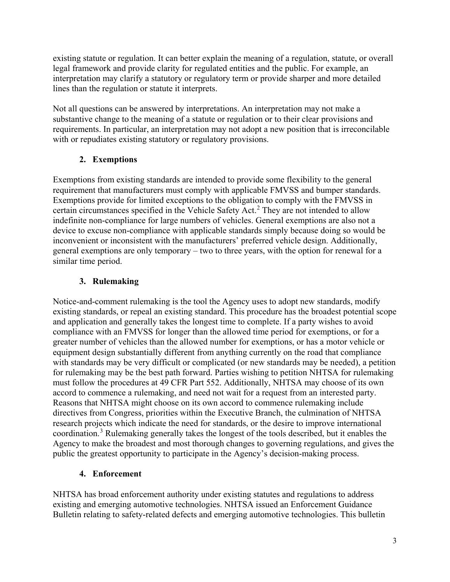existing statute or regulation. It can better explain the meaning of a regulation, statute, or overall legal framework and provide clarity for regulated entities and the public. For example, an interpretation may clarify a statutory or regulatory term or provide sharper and more detailed lines than the regulation or statute it interprets.

Not all questions can be answered by interpretations. An interpretation may not make a substantive change to the meaning of a statute or regulation or to their clear provisions and requirements. In particular, an interpretation may not adopt a new position that is irreconcilable with or repudiates existing statutory or regulatory provisions.

## **2. Exemptions**

Exemptions from existing standards are intended to provide some flexibility to the general requirement that manufacturers must comply with applicable FMVSS and bumper standards. Exemptions provide for limited exceptions to the obligation to comply with the FMVSS in certain circumstances specified in the Vehicle Safety Act.<sup>[2](#page-21-1)</sup> They are not intended to allow indefinite non-compliance for large numbers of vehicles. General exemptions are also not a device to excuse non-compliance with applicable standards simply because doing so would be inconvenient or inconsistent with the manufacturers' preferred vehicle design. Additionally, general exemptions are only temporary – two to three years, with the option for renewal for a similar time period.

## **3. Rulemaking**

Notice-and-comment rulemaking is the tool the Agency uses to adopt new standards, modify existing standards, or repeal an existing standard. This procedure has the broadest potential scope and application and generally takes the longest time to complete. If a party wishes to avoid compliance with an FMVSS for longer than the allowed time period for exemptions, or for a greater number of vehicles than the allowed number for exemptions, or has a motor vehicle or equipment design substantially different from anything currently on the road that compliance with standards may be very difficult or complicated (or new standards may be needed), a petition for rulemaking may be the best path forward. Parties wishing to petition NHTSA for rulemaking must follow the procedures at 49 CFR Part 552. Additionally, NHTSA may choose of its own accord to commence a rulemaking, and need not wait for a request from an interested party. Reasons that NHTSA might choose on its own accord to commence rulemaking include directives from Congress, priorities within the Executive Branch, the culmination of NHTSA research projects which indicate the need for standards, or the desire to improve international coordination.[3](#page-21-2) Rulemaking generally takes the longest of the tools described, but it enables the Agency to make the broadest and most thorough changes to governing regulations, and gives the public the greatest opportunity to participate in the Agency's decision-making process.

## **4. Enforcement**

NHTSA has broad enforcement authority under existing statutes and regulations to address existing and emerging automotive technologies. NHTSA issued an Enforcement Guidance Bulletin relating to safety-related defects and emerging automotive technologies. This bulletin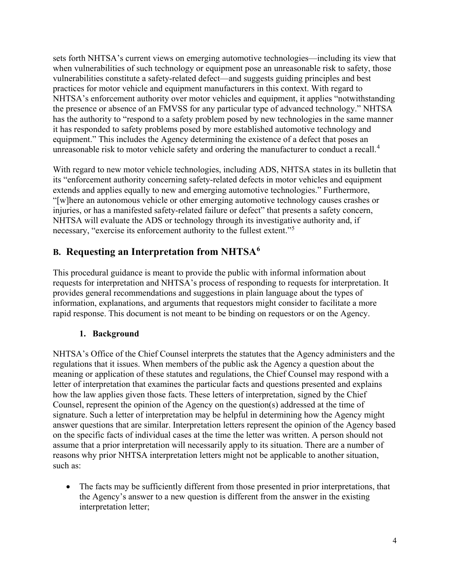sets forth NHTSA's current views on emerging automotive technologies—including its view that when vulnerabilities of such technology or equipment pose an unreasonable risk to safety, those vulnerabilities constitute a safety-related defect—and suggests guiding principles and best practices for motor vehicle and equipment manufacturers in this context. With regard to NHTSA's enforcement authority over motor vehicles and equipment, it applies "notwithstanding the presence or absence of an FMVSS for any particular type of advanced technology." NHTSA has the authority to "respond to a safety problem posed by new technologies in the same manner it has responded to safety problems posed by more established automotive technology and equipment." This includes the Agency determining the existence of a defect that poses an unreasonable risk to motor vehicle safety and ordering the manufacturer to conduct a recall.<sup>[4](#page-21-3)</sup>

With regard to new motor vehicle technologies, including ADS, NHTSA states in its bulletin that its "enforcement authority concerning safety-related defects in motor vehicles and equipment extends and applies equally to new and emerging automotive technologies." Furthermore, "[w]here an autonomous vehicle or other emerging automotive technology causes crashes or injuries, or has a manifested safety-related failure or defect" that presents a safety concern, NHTSA will evaluate the ADS or technology through its investigative authority and, if necessary, "exercise its enforcement authority to the fullest extent."[5](#page-21-4)

# **B. Requesting an Interpretation from NHTSA[6](#page-21-5)**

This procedural guidance is meant to provide the public with informal information about requests for interpretation and NHTSA's process of responding to requests for interpretation. It provides general recommendations and suggestions in plain language about the types of information, explanations, and arguments that requestors might consider to facilitate a more rapid response. This document is not meant to be binding on requestors or on the Agency.

## **1. Background**

NHTSA's Office of the Chief Counsel interprets the statutes that the Agency administers and the regulations that it issues. When members of the public ask the Agency a question about the meaning or application of these statutes and regulations, the Chief Counsel may respond with a letter of interpretation that examines the particular facts and questions presented and explains how the law applies given those facts. These letters of interpretation, signed by the Chief Counsel, represent the opinion of the Agency on the question(s) addressed at the time of signature. Such a letter of interpretation may be helpful in determining how the Agency might answer questions that are similar. Interpretation letters represent the opinion of the Agency based on the specific facts of individual cases at the time the letter was written. A person should not assume that a prior interpretation will necessarily apply to its situation. There are a number of reasons why prior NHTSA interpretation letters might not be applicable to another situation, such as:

• The facts may be sufficiently different from those presented in prior interpretations, that the Agency's answer to a new question is different from the answer in the existing interpretation letter;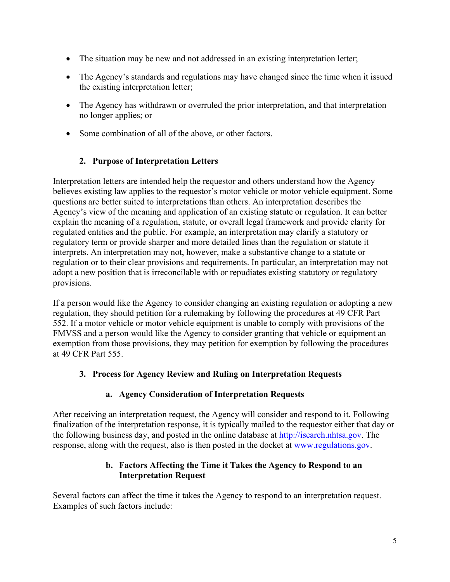- The situation may be new and not addressed in an existing interpretation letter;
- The Agency's standards and regulations may have changed since the time when it issued the existing interpretation letter;
- The Agency has withdrawn or overruled the prior interpretation, and that interpretation no longer applies; or
- Some combination of all of the above, or other factors.

## **2. Purpose of Interpretation Letters**

Interpretation letters are intended help the requestor and others understand how the Agency believes existing law applies to the requestor's motor vehicle or motor vehicle equipment. Some questions are better suited to interpretations than others. An interpretation describes the Agency's view of the meaning and application of an existing statute or regulation. It can better explain the meaning of a regulation, statute, or overall legal framework and provide clarity for regulated entities and the public. For example, an interpretation may clarify a statutory or regulatory term or provide sharper and more detailed lines than the regulation or statute it interprets. An interpretation may not, however, make a substantive change to a statute or regulation or to their clear provisions and requirements. In particular, an interpretation may not adopt a new position that is irreconcilable with or repudiates existing statutory or regulatory provisions.

If a person would like the Agency to consider changing an existing regulation or adopting a new regulation, they should petition for a rulemaking by following the procedures at 49 CFR Part 552. If a motor vehicle or motor vehicle equipment is unable to comply with provisions of the FMVSS and a person would like the Agency to consider granting that vehicle or equipment an exemption from those provisions, they may petition for exemption by following the procedures at 49 CFR Part 555.

## **3. Process for Agency Review and Ruling on Interpretation Requests**

## **a. Agency Consideration of Interpretation Requests**

After receiving an interpretation request, the Agency will consider and respond to it. Following finalization of the interpretation response, it is typically mailed to the requestor either that day or the following business day, and posted in the online database at [http://isearch.nhtsa.gov.](http://isearch.nhtsa.gov/) The response, along with the request, also is then posted in the docket at [www.regulations.gov.](http://www.regulations.gov/)

#### **b. Factors Affecting the Time it Takes the Agency to Respond to an Interpretation Request**

Several factors can affect the time it takes the Agency to respond to an interpretation request. Examples of such factors include: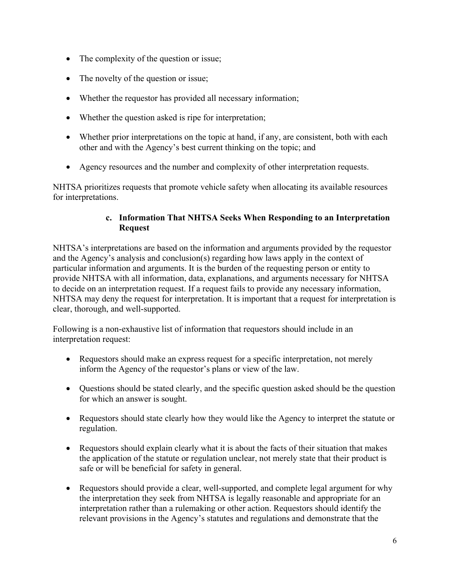- The complexity of the question or issue;
- The novelty of the question or issue;
- Whether the requestor has provided all necessary information;
- Whether the question asked is ripe for interpretation;
- Whether prior interpretations on the topic at hand, if any, are consistent, both with each other and with the Agency's best current thinking on the topic; and
- Agency resources and the number and complexity of other interpretation requests.

NHTSA prioritizes requests that promote vehicle safety when allocating its available resources for interpretations.

#### **c. Information That NHTSA Seeks When Responding to an Interpretation Request**

NHTSA's interpretations are based on the information and arguments provided by the requestor and the Agency's analysis and conclusion(s) regarding how laws apply in the context of particular information and arguments. It is the burden of the requesting person or entity to provide NHTSA with all information, data, explanations, and arguments necessary for NHTSA to decide on an interpretation request. If a request fails to provide any necessary information, NHTSA may deny the request for interpretation. It is important that a request for interpretation is clear, thorough, and well-supported.

Following is a non-exhaustive list of information that requestors should include in an interpretation request:

- Requestors should make an express request for a specific interpretation, not merely inform the Agency of the requestor's plans or view of the law.
- Ouestions should be stated clearly, and the specific question asked should be the question for which an answer is sought.
- Requestors should state clearly how they would like the Agency to interpret the statute or regulation.
- Requestors should explain clearly what it is about the facts of their situation that makes the application of the statute or regulation unclear, not merely state that their product is safe or will be beneficial for safety in general.
- Requestors should provide a clear, well-supported, and complete legal argument for why the interpretation they seek from NHTSA is legally reasonable and appropriate for an interpretation rather than a rulemaking or other action. Requestors should identify the relevant provisions in the Agency's statutes and regulations and demonstrate that the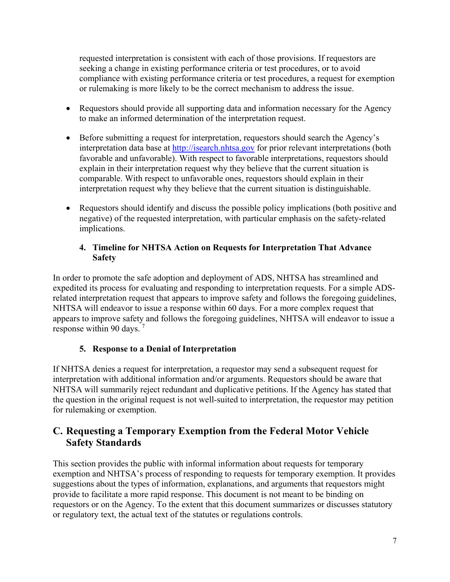requested interpretation is consistent with each of those provisions. If requestors are seeking a change in existing performance criteria or test procedures, or to avoid compliance with existing performance criteria or test procedures, a request for exemption or rulemaking is more likely to be the correct mechanism to address the issue.

- Requestors should provide all supporting data and information necessary for the Agency to make an informed determination of the interpretation request.
- Before submitting a request for interpretation, requestors should search the Agency's interpretation data base at [http://isearch.nhtsa.gov](http://isearch.nhtsa.gov/) for prior relevant interpretations (both favorable and unfavorable). With respect to favorable interpretations, requestors should explain in their interpretation request why they believe that the current situation is comparable. With respect to unfavorable ones, requestors should explain in their interpretation request why they believe that the current situation is distinguishable.
- Requestors should identify and discuss the possible policy implications (both positive and negative) of the requested interpretation, with particular emphasis on the safety-related implications.

#### **4. Timeline for NHTSA Action on Requests for Interpretation That Advance Safety**

In order to promote the safe adoption and deployment of ADS, NHTSA has streamlined and expedited its process for evaluating and responding to interpretation requests. For a simple ADSrelated interpretation request that appears to improve safety and follows the foregoing guidelines, NHTSA will endeavor to issue a response within 60 days. For a more complex request that appears to improve safety and follows the foregoing guidelines, NHTSA will endeavor to issue a response within 90 days. [7](#page-21-6)

## **5. Response to a Denial of Interpretation**

If NHTSA denies a request for interpretation, a requestor may send a subsequent request for interpretation with additional information and/or arguments. Requestors should be aware that NHTSA will summarily reject redundant and duplicative petitions. If the Agency has stated that the question in the original request is not well-suited to interpretation, the requestor may petition for rulemaking or exemption.

# **C. Requesting a Temporary Exemption from the Federal Motor Vehicle Safety Standards**

This section provides the public with informal information about requests for temporary exemption and NHTSA's process of responding to requests for temporary exemption. It provides suggestions about the types of information, explanations, and arguments that requestors might provide to facilitate a more rapid response. This document is not meant to be binding on requestors or on the Agency. To the extent that this document summarizes or discusses statutory or regulatory text, the actual text of the statutes or regulations controls.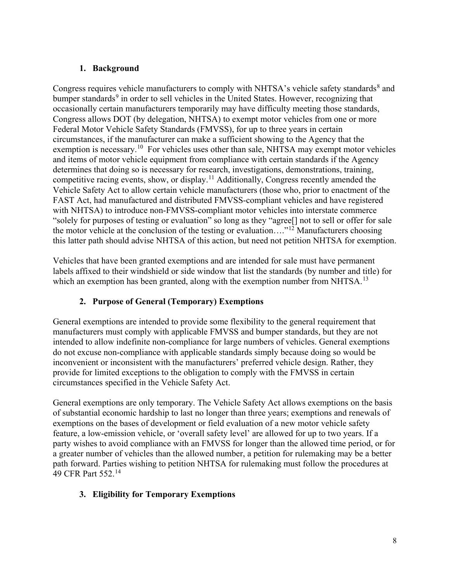#### **1. Background**

Congress requires vehicle manufacturers to comply with NHTSA's vehicle safety standards<sup>[8](#page-21-7)</sup> and bumper standards<sup>[9](#page-21-8)</sup> in order to sell vehicles in the United States. However, recognizing that occasionally certain manufacturers temporarily may have difficulty meeting those standards, Congress allows DOT (by delegation, NHTSA) to exempt motor vehicles from one or more Federal Motor Vehicle Safety Standards (FMVSS), for up to three years in certain circumstances, if the manufacturer can make a sufficient showing to the Agency that the exemption is necessary.<sup>10</sup> For vehicles uses other than sale, NHTSA may exempt motor vehicles and items of motor vehicle equipment from compliance with certain standards if the Agency determines that doing so is necessary for research, investigations, demonstrations, training, competitive racing events, show, or display.[11](#page-21-10) Additionally, Congress recently amended the Vehicle Safety Act to allow certain vehicle manufacturers (those who, prior to enactment of the FAST Act, had manufactured and distributed FMVSS-compliant vehicles and have registered with NHTSA) to introduce non-FMVSS-compliant motor vehicles into interstate commerce "solely for purposes of testing or evaluation" so long as they "agree[] not to sell or offer for sale the motor vehicle at the conclusion of the testing or evaluation...."<sup>[12](#page-21-11)</sup> Manufacturers choosing this latter path should advise NHTSA of this action, but need not petition NHTSA for exemption.

Vehicles that have been granted exemptions and are intended for sale must have permanent labels affixed to their windshield or side window that list the standards (by number and title) for which an exemption has been granted, along with the exemption number from NHTSA.<sup>[13](#page-21-12)</sup>

## **2. Purpose of General (Temporary) Exemptions**

General exemptions are intended to provide some flexibility to the general requirement that manufacturers must comply with applicable FMVSS and bumper standards, but they are not intended to allow indefinite non-compliance for large numbers of vehicles. General exemptions do not excuse non-compliance with applicable standards simply because doing so would be inconvenient or inconsistent with the manufacturers' preferred vehicle design. Rather, they provide for limited exceptions to the obligation to comply with the FMVSS in certain circumstances specified in the Vehicle Safety Act.

General exemptions are only temporary. The Vehicle Safety Act allows exemptions on the basis of substantial economic hardship to last no longer than three years; exemptions and renewals of exemptions on the bases of development or field evaluation of a new motor vehicle safety feature, a low-emission vehicle, or 'overall safety level' are allowed for up to two years. If a party wishes to avoid compliance with an FMVSS for longer than the allowed time period, or for a greater number of vehicles than the allowed number, a petition for rulemaking may be a better path forward. Parties wishing to petition NHTSA for rulemaking must follow the procedures at 49 CFR Part 552.[14](#page-21-13)

## **3. Eligibility for Temporary Exemptions**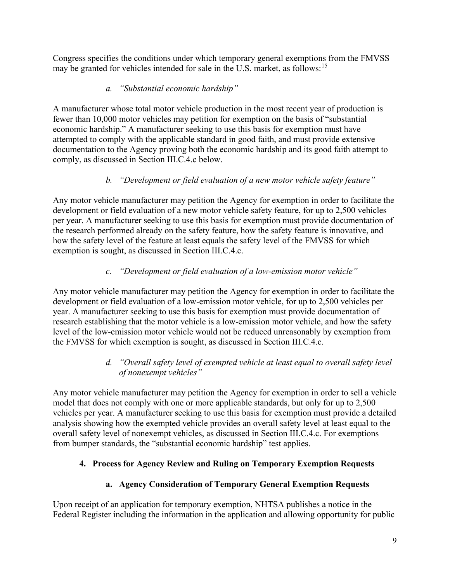Congress specifies the conditions under which temporary general exemptions from the FMVSS may be granted for vehicles intended for sale in the U.S. market, as follows:<sup>[15](#page-21-14)</sup>

## *a. "Substantial economic hardship"*

A manufacturer whose total motor vehicle production in the most recent year of production is fewer than 10,000 motor vehicles may petition for exemption on the basis of "substantial economic hardship." A manufacturer seeking to use this basis for exemption must have attempted to comply with the applicable standard in good faith, and must provide extensive documentation to the Agency proving both the economic hardship and its good faith attempt to comply, as discussed in Section III.C.4.c below.

# *b. "Development or field evaluation of a new motor vehicle safety feature"*

Any motor vehicle manufacturer may petition the Agency for exemption in order to facilitate the development or field evaluation of a new motor vehicle safety feature, for up to 2,500 vehicles per year. A manufacturer seeking to use this basis for exemption must provide documentation of the research performed already on the safety feature, how the safety feature is innovative, and how the safety level of the feature at least equals the safety level of the FMVSS for which exemption is sought, as discussed in Section III.C.4.c.

# *c. "Development or field evaluation of a low-emission motor vehicle"*

Any motor vehicle manufacturer may petition the Agency for exemption in order to facilitate the development or field evaluation of a low-emission motor vehicle, for up to 2,500 vehicles per year. A manufacturer seeking to use this basis for exemption must provide documentation of research establishing that the motor vehicle is a low-emission motor vehicle, and how the safety level of the low-emission motor vehicle would not be reduced unreasonably by exemption from the FMVSS for which exemption is sought, as discussed in Section III.C.4.c.

## *d. "Overall safety level of exempted vehicle at least equal to overall safety level of nonexempt vehicles"*

Any motor vehicle manufacturer may petition the Agency for exemption in order to sell a vehicle model that does not comply with one or more applicable standards, but only for up to 2,500 vehicles per year. A manufacturer seeking to use this basis for exemption must provide a detailed analysis showing how the exempted vehicle provides an overall safety level at least equal to the overall safety level of nonexempt vehicles, as discussed in Section III.C.4.c. For exemptions from bumper standards, the "substantial economic hardship" test applies.

## **4. Process for Agency Review and Ruling on Temporary Exemption Requests**

# **a. Agency Consideration of Temporary General Exemption Requests**

Upon receipt of an application for temporary exemption, NHTSA publishes a notice in the Federal Register including the information in the application and allowing opportunity for public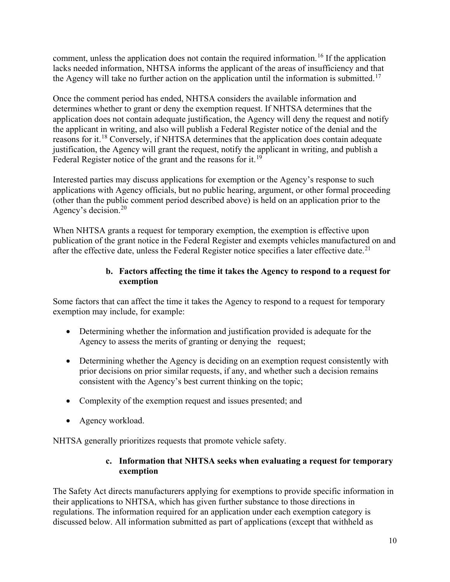comment, unless the application does not contain the required information.<sup>[16](#page-21-15)</sup> If the application lacks needed information, NHTSA informs the applicant of the areas of insufficiency and that the Agency will take no further action on the application until the information is submitted.<sup>[17](#page-21-16)</sup>

Once the comment period has ended, NHTSA considers the available information and determines whether to grant or deny the exemption request. If NHTSA determines that the application does not contain adequate justification, the Agency will deny the request and notify the applicant in writing, and also will publish a Federal Register notice of the denial and the reasons for it.[18](#page-21-17) Conversely, if NHTSA determines that the application does contain adequate justification, the Agency will grant the request, notify the applicant in writing, and publish a Federal Register notice of the grant and the reasons for it.<sup>[19](#page-21-0)</sup>

Interested parties may discuss applications for exemption or the Agency's response to such applications with Agency officials, but no public hearing, argument, or other formal proceeding (other than the public comment period described above) is held on an application prior to the Agency's decision.[20](#page-21-18)

When NHTSA grants a request for temporary exemption, the exemption is effective upon publication of the grant notice in the Federal Register and exempts vehicles manufactured on and after the effective date, unless the Federal Register notice specifies a later effective date.<sup>[21](#page-21-19)</sup>

## **b. Factors affecting the time it takes the Agency to respond to a request for exemption**

Some factors that can affect the time it takes the Agency to respond to a request for temporary exemption may include, for example:

- Determining whether the information and justification provided is adequate for the Agency to assess the merits of granting or denying the request;
- Determining whether the Agency is deciding on an exemption request consistently with prior decisions on prior similar requests, if any, and whether such a decision remains consistent with the Agency's best current thinking on the topic;
- Complexity of the exemption request and issues presented; and
- Agency workload.

NHTSA generally prioritizes requests that promote vehicle safety.

#### **c. Information that NHTSA seeks when evaluating a request for temporary exemption**

The Safety Act directs manufacturers applying for exemptions to provide specific information in their applications to NHTSA, which has given further substance to those directions in regulations. The information required for an application under each exemption category is discussed below. All information submitted as part of applications (except that withheld as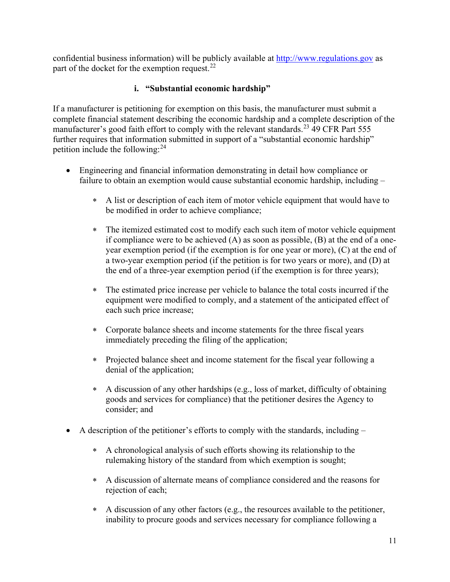confidential business information) will be publicly available at [http://www.regulations.gov](http://www.regulations.gov/) as part of the docket for the exemption request.  $22$ 

#### **i. "Substantial economic hardship"**

If a manufacturer is petitioning for exemption on this basis, the manufacturer must submit a complete financial statement describing the economic hardship and a complete description of the manufacturer's good faith effort to comply with the relevant standards.<sup>[23](#page-21-21)</sup> 49 CFR Part 555 further requires that information submitted in support of a "substantial economic hardship" petition include the following: $^{24}$  $^{24}$  $^{24}$ 

- Engineering and financial information demonstrating in detail how compliance or failure to obtain an exemption would cause substantial economic hardship, including –
	- ∗ A list or description of each item of motor vehicle equipment that would have to be modified in order to achieve compliance;
	- ∗ The itemized estimated cost to modify each such item of motor vehicle equipment if compliance were to be achieved (A) as soon as possible, (B) at the end of a oneyear exemption period (if the exemption is for one year or more), (C) at the end of a two-year exemption period (if the petition is for two years or more), and (D) at the end of a three-year exemption period (if the exemption is for three years);
	- ∗ The estimated price increase per vehicle to balance the total costs incurred if the equipment were modified to comply, and a statement of the anticipated effect of each such price increase;
	- ∗ Corporate balance sheets and income statements for the three fiscal years immediately preceding the filing of the application;
	- ∗ Projected balance sheet and income statement for the fiscal year following a denial of the application;
	- ∗ A discussion of any other hardships (e.g., loss of market, difficulty of obtaining goods and services for compliance) that the petitioner desires the Agency to consider; and
- A description of the petitioner's efforts to comply with the standards, including  $-$ 
	- ∗ A chronological analysis of such efforts showing its relationship to the rulemaking history of the standard from which exemption is sought;
	- ∗ A discussion of alternate means of compliance considered and the reasons for rejection of each;
	- ∗ A discussion of any other factors (e.g., the resources available to the petitioner, inability to procure goods and services necessary for compliance following a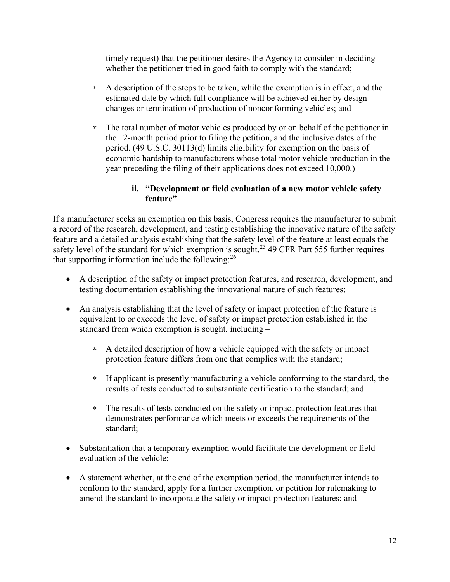timely request) that the petitioner desires the Agency to consider in deciding whether the petitioner tried in good faith to comply with the standard;

- ∗ A description of the steps to be taken, while the exemption is in effect, and the estimated date by which full compliance will be achieved either by design changes or termination of production of nonconforming vehicles; and
- ∗ The total number of motor vehicles produced by or on behalf of the petitioner in the 12-month period prior to filing the petition, and the inclusive dates of the period. (49 U.S.C. 30113(d) limits eligibility for exemption on the basis of economic hardship to manufacturers whose total motor vehicle production in the year preceding the filing of their applications does not exceed 10,000.)

#### **ii. "Development or field evaluation of a new motor vehicle safety feature"**

If a manufacturer seeks an exemption on this basis, Congress requires the manufacturer to submit a record of the research, development, and testing establishing the innovative nature of the safety feature and a detailed analysis establishing that the safety level of the feature at least equals the safety level of the standard for which exemption is sought.<sup>[25](#page-21-23)</sup> 49 CFR Part 555 further requires that supporting information include the following:<sup>[26](#page-21-24)</sup>

- A description of the safety or impact protection features, and research, development, and testing documentation establishing the innovational nature of such features;
- An analysis establishing that the level of safety or impact protection of the feature is equivalent to or exceeds the level of safety or impact protection established in the standard from which exemption is sought, including –
	- ∗ A detailed description of how a vehicle equipped with the safety or impact protection feature differs from one that complies with the standard;
	- ∗ If applicant is presently manufacturing a vehicle conforming to the standard, the results of tests conducted to substantiate certification to the standard; and
	- ∗ The results of tests conducted on the safety or impact protection features that demonstrates performance which meets or exceeds the requirements of the standard;
- Substantiation that a temporary exemption would facilitate the development or field evaluation of the vehicle;
- A statement whether, at the end of the exemption period, the manufacturer intends to conform to the standard, apply for a further exemption, or petition for rulemaking to amend the standard to incorporate the safety or impact protection features; and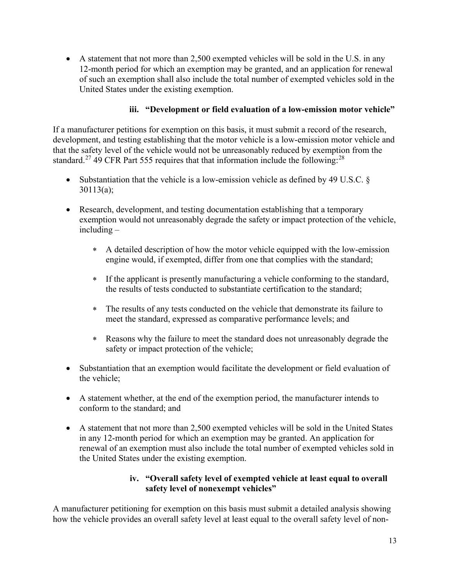• A statement that not more than 2,500 exempted vehicles will be sold in the U.S. in any 12-month period for which an exemption may be granted, and an application for renewal of such an exemption shall also include the total number of exempted vehicles sold in the United States under the existing exemption.

#### **iii. "Development or field evaluation of a low-emission motor vehicle"**

If a manufacturer petitions for exemption on this basis, it must submit a record of the research, development, and testing establishing that the motor vehicle is a low-emission motor vehicle and that the safety level of the vehicle would not be unreasonably reduced by exemption from the standard.<sup>[27](#page-21-25)</sup> 49 CFR Part 555 requires that that information include the following:<sup>[28](#page-21-26)</sup>

- Substantiation that the vehicle is a low-emission vehicle as defined by 49 U.S.C. § 30113(a);
- Research, development, and testing documentation establishing that a temporary exemption would not unreasonably degrade the safety or impact protection of the vehicle, including –
	- ∗ A detailed description of how the motor vehicle equipped with the low-emission engine would, if exempted, differ from one that complies with the standard;
	- ∗ If the applicant is presently manufacturing a vehicle conforming to the standard, the results of tests conducted to substantiate certification to the standard;
	- ∗ The results of any tests conducted on the vehicle that demonstrate its failure to meet the standard, expressed as comparative performance levels; and
	- ∗ Reasons why the failure to meet the standard does not unreasonably degrade the safety or impact protection of the vehicle;
- Substantiation that an exemption would facilitate the development or field evaluation of the vehicle;
- A statement whether, at the end of the exemption period, the manufacturer intends to conform to the standard; and
- A statement that not more than 2,500 exempted vehicles will be sold in the United States in any 12-month period for which an exemption may be granted. An application for renewal of an exemption must also include the total number of exempted vehicles sold in the United States under the existing exemption.

#### **iv. "Overall safety level of exempted vehicle at least equal to overall safety level of nonexempt vehicles"**

A manufacturer petitioning for exemption on this basis must submit a detailed analysis showing how the vehicle provides an overall safety level at least equal to the overall safety level of non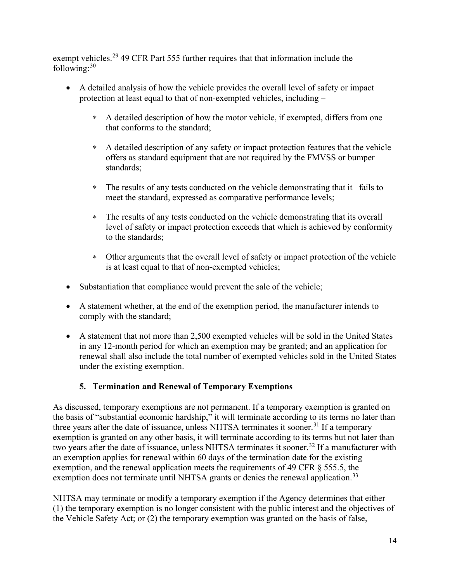exempt vehicles.<sup>[29](#page-21-27)</sup> 49 CFR Part 555 further requires that that information include the following: $30$ 

- A detailed analysis of how the vehicle provides the overall level of safety or impact protection at least equal to that of non-exempted vehicles, including –
	- ∗ A detailed description of how the motor vehicle, if exempted, differs from one that conforms to the standard;
	- ∗ A detailed description of any safety or impact protection features that the vehicle offers as standard equipment that are not required by the FMVSS or bumper standards;
	- ∗ The results of any tests conducted on the vehicle demonstrating that it fails to meet the standard, expressed as comparative performance levels;
	- ∗ The results of any tests conducted on the vehicle demonstrating that its overall level of safety or impact protection exceeds that which is achieved by conformity to the standards;
	- ∗ Other arguments that the overall level of safety or impact protection of the vehicle is at least equal to that of non-exempted vehicles;
- Substantiation that compliance would prevent the sale of the vehicle;
- A statement whether, at the end of the exemption period, the manufacturer intends to comply with the standard;
- A statement that not more than 2,500 exempted vehicles will be sold in the United States in any 12-month period for which an exemption may be granted; and an application for renewal shall also include the total number of exempted vehicles sold in the United States under the existing exemption.

## **5. Termination and Renewal of Temporary Exemptions**

As discussed, temporary exemptions are not permanent. If a temporary exemption is granted on the basis of "substantial economic hardship," it will terminate according to its terms no later than three years after the date of issuance, unless NHTSA terminates it sooner.<sup>[31](#page-21-29)</sup> If a temporary exemption is granted on any other basis, it will terminate according to its terms but not later than two years after the date of issuance, unless NHTSA terminates it sooner.<sup>[32](#page-21-30)</sup> If a manufacturer with an exemption applies for renewal within 60 days of the termination date for the existing exemption, and the renewal application meets the requirements of 49 CFR § 555.5, the exemption does not terminate until NHTSA grants or denies the renewal application.<sup>[33](#page-21-6)</sup>

NHTSA may terminate or modify a temporary exemption if the Agency determines that either (1) the temporary exemption is no longer consistent with the public interest and the objectives of the Vehicle Safety Act; or (2) the temporary exemption was granted on the basis of false,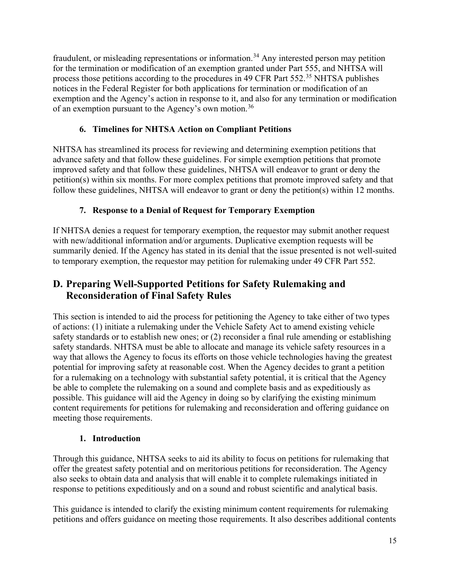fraudulent, or misleading representations or information.<sup>[34](#page-21-31)</sup> Any interested person may petition for the termination or modification of an exemption granted under Part 555, and NHTSA will process those petitions according to the procedures in 49 CFR Part 552.<sup>[35](#page-21-8)</sup> NHTSA publishes notices in the Federal Register for both applications for termination or modification of an exemption and the Agency's action in response to it, and also for any termination or modification of an exemption pursuant to the Agency's own motion.<sup>[36](#page-21-32)</sup>

## **6. Timelines for NHTSA Action on Compliant Petitions**

NHTSA has streamlined its process for reviewing and determining exemption petitions that advance safety and that follow these guidelines. For simple exemption petitions that promote improved safety and that follow these guidelines, NHTSA will endeavor to grant or deny the petition(s) within six months. For more complex petitions that promote improved safety and that follow these guidelines, NHTSA will endeavor to grant or deny the petition(s) within 12 months.

## **7. Response to a Denial of Request for Temporary Exemption**

If NHTSA denies a request for temporary exemption, the requestor may submit another request with new/additional information and/or arguments. Duplicative exemption requests will be summarily denied. If the Agency has stated in its denial that the issue presented is not well-suited to temporary exemption, the requestor may petition for rulemaking under 49 CFR Part 552.

# **D. Preparing Well-Supported Petitions for Safety Rulemaking and Reconsideration of Final Safety Rules**

This section is intended to aid the process for petitioning the Agency to take either of two types of actions: (1) initiate a rulemaking under the Vehicle Safety Act to amend existing vehicle safety standards or to establish new ones; or (2) reconsider a final rule amending or establishing safety standards. NHTSA must be able to allocate and manage its vehicle safety resources in a way that allows the Agency to focus its efforts on those vehicle technologies having the greatest potential for improving safety at reasonable cost. When the Agency decides to grant a petition for a rulemaking on a technology with substantial safety potential, it is critical that the Agency be able to complete the rulemaking on a sound and complete basis and as expeditiously as possible. This guidance will aid the Agency in doing so by clarifying the existing minimum content requirements for petitions for rulemaking and reconsideration and offering guidance on meeting those requirements.

## **1. Introduction**

Through this guidance, NHTSA seeks to aid its ability to focus on petitions for rulemaking that offer the greatest safety potential and on meritorious petitions for reconsideration. The Agency also seeks to obtain data and analysis that will enable it to complete rulemakings initiated in response to petitions expeditiously and on a sound and robust scientific and analytical basis.

This guidance is intended to clarify the existing minimum content requirements for rulemaking petitions and offers guidance on meeting those requirements. It also describes additional contents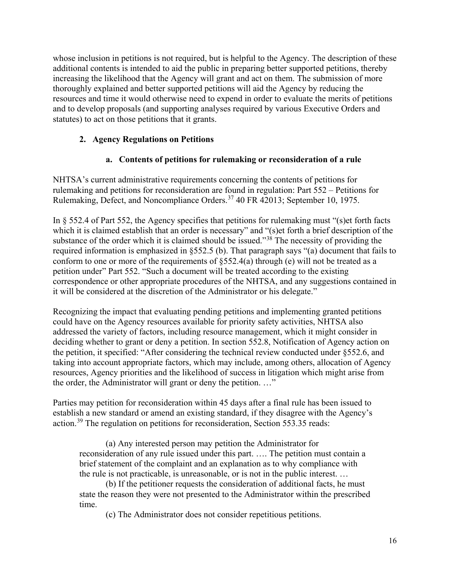whose inclusion in petitions is not required, but is helpful to the Agency. The description of these additional contents is intended to aid the public in preparing better supported petitions, thereby increasing the likelihood that the Agency will grant and act on them. The submission of more thoroughly explained and better supported petitions will aid the Agency by reducing the resources and time it would otherwise need to expend in order to evaluate the merits of petitions and to develop proposals (and supporting analyses required by various Executive Orders and statutes) to act on those petitions that it grants.

## **2. Agency Regulations on Petitions**

## **a. Contents of petitions for rulemaking or reconsideration of a rule**

NHTSA's current administrative requirements concerning the contents of petitions for rulemaking and petitions for reconsideration are found in regulation: Part 552 – Petitions for Rulemaking, Defect, and Noncompliance Orders.[37](#page-21-33) 40 FR 42013; September 10, 1975.

In § 552.4 of Part 552, the Agency specifies that petitions for rulemaking must "(s)et forth facts which it is claimed establish that an order is necessary" and "(s) et forth a brief description of the substance of the order which it is claimed should be issued."<sup>[38](#page-21-34)</sup> The necessity of providing the required information is emphasized in §552.5 (b). That paragraph says "(a) document that fails to conform to one or more of the requirements of §552.4(a) through (e) will not be treated as a petition under" Part 552. "Such a document will be treated according to the existing correspondence or other appropriate procedures of the NHTSA, and any suggestions contained in it will be considered at the discretion of the Administrator or his delegate."

Recognizing the impact that evaluating pending petitions and implementing granted petitions could have on the Agency resources available for priority safety activities, NHTSA also addressed the variety of factors, including resource management, which it might consider in deciding whether to grant or deny a petition. In section 552.8, Notification of Agency action on the petition, it specified: "After considering the technical review conducted under §552.6, and taking into account appropriate factors, which may include, among others, allocation of Agency resources, Agency priorities and the likelihood of success in litigation which might arise from the order, the Administrator will grant or deny the petition. …"

Parties may petition for reconsideration within 45 days after a final rule has been issued to establish a new standard or amend an existing standard, if they disagree with the Agency's action.[39](#page-21-35) The regulation on petitions for reconsideration, Section 553.35 reads:

(a) Any interested person may petition the Administrator for reconsideration of any rule issued under this part. …. The petition must contain a brief statement of the complaint and an explanation as to why compliance with the rule is not practicable, is unreasonable, or is not in the public interest. …

(b) If the petitioner requests the consideration of additional facts, he must state the reason they were not presented to the Administrator within the prescribed time.

(c) The Administrator does not consider repetitious petitions.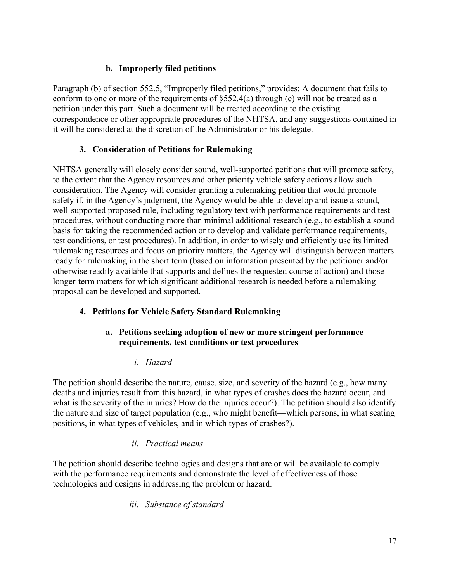## **b. Improperly filed petitions**

Paragraph (b) of section 552.5, "Improperly filed petitions," provides: A document that fails to conform to one or more of the requirements of §552.4(a) through (e) will not be treated as a petition under this part. Such a document will be treated according to the existing correspondence or other appropriate procedures of the NHTSA, and any suggestions contained in it will be considered at the discretion of the Administrator or his delegate.

#### **3. Consideration of Petitions for Rulemaking**

NHTSA generally will closely consider sound, well-supported petitions that will promote safety, to the extent that the Agency resources and other priority vehicle safety actions allow such consideration. The Agency will consider granting a rulemaking petition that would promote safety if, in the Agency's judgment, the Agency would be able to develop and issue a sound, well-supported proposed rule, including regulatory text with performance requirements and test procedures, without conducting more than minimal additional research (e.g., to establish a sound basis for taking the recommended action or to develop and validate performance requirements, test conditions, or test procedures). In addition, in order to wisely and efficiently use its limited rulemaking resources and focus on priority matters, the Agency will distinguish between matters ready for rulemaking in the short term (based on information presented by the petitioner and/or otherwise readily available that supports and defines the requested course of action) and those longer-term matters for which significant additional research is needed before a rulemaking proposal can be developed and supported.

## **4. Petitions for Vehicle Safety Standard Rulemaking**

#### **a. Petitions seeking adoption of new or more stringent performance requirements, test conditions or test procedures**

## *i. Hazard*

The petition should describe the nature, cause, size, and severity of the hazard (e.g., how many deaths and injuries result from this hazard, in what types of crashes does the hazard occur, and what is the severity of the injuries? How do the injuries occur?). The petition should also identify the nature and size of target population (e.g., who might benefit—which persons, in what seating positions, in what types of vehicles, and in which types of crashes?).

#### *ii. Practical means*

The petition should describe technologies and designs that are or will be available to comply with the performance requirements and demonstrate the level of effectiveness of those technologies and designs in addressing the problem or hazard.

#### *iii. Substance of standard*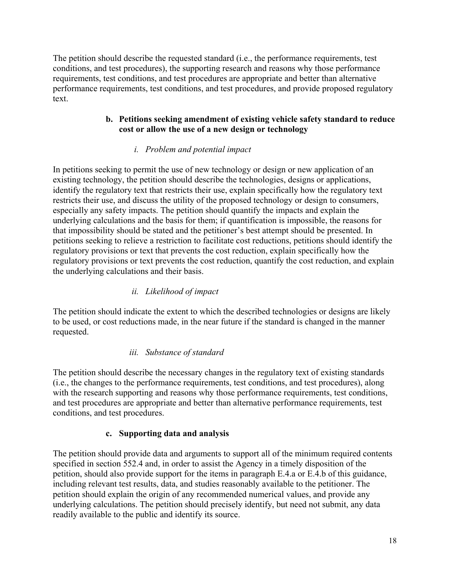The petition should describe the requested standard (i.e., the performance requirements, test conditions, and test procedures), the supporting research and reasons why those performance requirements, test conditions, and test procedures are appropriate and better than alternative performance requirements, test conditions, and test procedures, and provide proposed regulatory text.

#### **b. Petitions seeking amendment of existing vehicle safety standard to reduce cost or allow the use of a new design or technology**

## *i. Problem and potential impact*

In petitions seeking to permit the use of new technology or design or new application of an existing technology, the petition should describe the technologies, designs or applications, identify the regulatory text that restricts their use, explain specifically how the regulatory text restricts their use, and discuss the utility of the proposed technology or design to consumers, especially any safety impacts. The petition should quantify the impacts and explain the underlying calculations and the basis for them; if quantification is impossible, the reasons for that impossibility should be stated and the petitioner's best attempt should be presented. In petitions seeking to relieve a restriction to facilitate cost reductions, petitions should identify the regulatory provisions or text that prevents the cost reduction, explain specifically how the regulatory provisions or text prevents the cost reduction, quantify the cost reduction, and explain the underlying calculations and their basis.

## *ii. Likelihood of impact*

The petition should indicate the extent to which the described technologies or designs are likely to be used, or cost reductions made, in the near future if the standard is changed in the manner requested.

## *iii. Substance of standard*

The petition should describe the necessary changes in the regulatory text of existing standards (i.e., the changes to the performance requirements, test conditions, and test procedures), along with the research supporting and reasons why those performance requirements, test conditions, and test procedures are appropriate and better than alternative performance requirements, test conditions, and test procedures.

## **c. Supporting data and analysis**

The petition should provide data and arguments to support all of the minimum required contents specified in section 552.4 and, in order to assist the Agency in a timely disposition of the petition, should also provide support for the items in paragraph E.4.a or E.4.b of this guidance, including relevant test results, data, and studies reasonably available to the petitioner. The petition should explain the origin of any recommended numerical values, and provide any underlying calculations. The petition should precisely identify, but need not submit, any data readily available to the public and identify its source.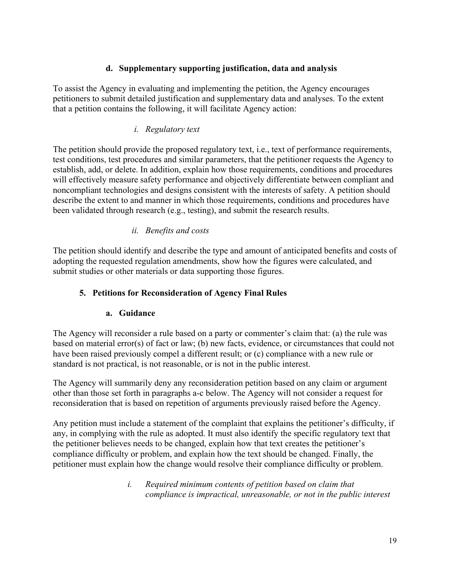#### **d. Supplementary supporting justification, data and analysis**

To assist the Agency in evaluating and implementing the petition, the Agency encourages petitioners to submit detailed justification and supplementary data and analyses. To the extent that a petition contains the following, it will facilitate Agency action:

#### *i. Regulatory text*

The petition should provide the proposed regulatory text, i.e., text of performance requirements, test conditions, test procedures and similar parameters, that the petitioner requests the Agency to establish, add, or delete. In addition, explain how those requirements, conditions and procedures will effectively measure safety performance and objectively differentiate between compliant and noncompliant technologies and designs consistent with the interests of safety. A petition should describe the extent to and manner in which those requirements, conditions and procedures have been validated through research (e.g., testing), and submit the research results.

#### *ii. Benefits and costs*

The petition should identify and describe the type and amount of anticipated benefits and costs of adopting the requested regulation amendments, show how the figures were calculated, and submit studies or other materials or data supporting those figures.

#### **5. Petitions for Reconsideration of Agency Final Rules**

#### **a. Guidance**

The Agency will reconsider a rule based on a party or commenter's claim that: (a) the rule was based on material error(s) of fact or law; (b) new facts, evidence, or circumstances that could not have been raised previously compel a different result; or (c) compliance with a new rule or standard is not practical, is not reasonable, or is not in the public interest.

The Agency will summarily deny any reconsideration petition based on any claim or argument other than those set forth in paragraphs a-c below. The Agency will not consider a request for reconsideration that is based on repetition of arguments previously raised before the Agency.

Any petition must include a statement of the complaint that explains the petitioner's difficulty, if any, in complying with the rule as adopted. It must also identify the specific regulatory text that the petitioner believes needs to be changed, explain how that text creates the petitioner's compliance difficulty or problem, and explain how the text should be changed. Finally, the petitioner must explain how the change would resolve their compliance difficulty or problem.

> *i. Required minimum contents of petition based on claim that compliance is impractical, unreasonable, or not in the public interest*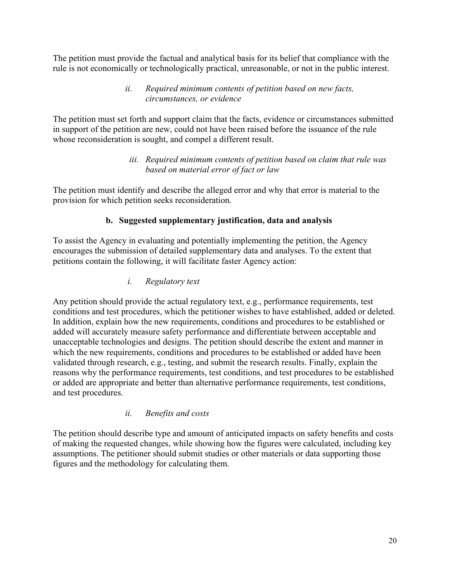The petition must provide the factual and analytical basis for its belief that compliance with the rule is not economically or technologically practical, unreasonable, or not in the public interest.

#### *ii. Required minimum contents of petition based on new facts, circumstances, or evidence*

The petition must set forth and support claim that the facts, evidence or circumstances submitted in support of the petition are new, could not have been raised before the issuance of the rule whose reconsideration is sought, and compel a different result.

#### *iii. Required minimum contents of petition based on claim that rule was based on material error of fact or law*

The petition must identify and describe the alleged error and why that error is material to the provision for which petition seeks reconsideration.

## **b. Suggested supplementary justification, data and analysis**

To assist the Agency in evaluating and potentially implementing the petition, the Agency encourages the submission of detailed supplementary data and analyses. To the extent that petitions contain the following, it will facilitate faster Agency action:

## *i. Regulatory text*

Any petition should provide the actual regulatory text, e.g., performance requirements, test conditions and test procedures, which the petitioner wishes to have established, added or deleted. In addition, explain how the new requirements, conditions and procedures to be established or added will accurately measure safety performance and differentiate between acceptable and unacceptable technologies and designs. The petition should describe the extent and manner in which the new requirements, conditions and procedures to be established or added have been validated through research, e.g., testing, and submit the research results. Finally, explain the reasons why the performance requirements, test conditions, and test procedures to be established or added are appropriate and better than alternative performance requirements, test conditions, and test procedures.

## *ii. Benefits and costs*

The petition should describe type and amount of anticipated impacts on safety benefits and costs of making the requested changes, while showing how the figures were calculated, including key assumptions. The petitioner should submit studies or other materials or data supporting those figures and the methodology for calculating them.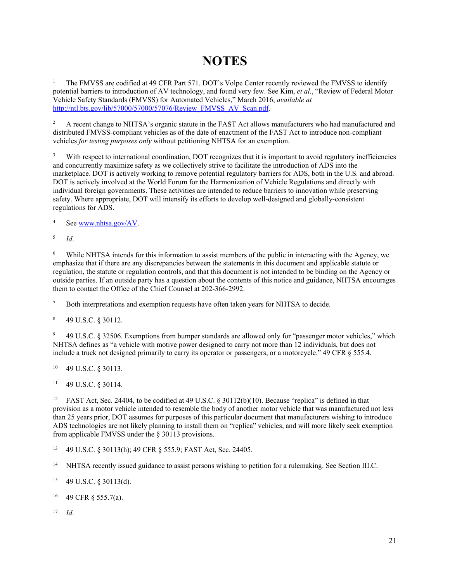# **NOTES**

<sup>1</sup> The FMVSS are codified at 49 CFR Part 571. DOT's Volpe Center recently reviewed the FMVSS to identify potential barriers to introduction of AV technology, and found very few. See Kim, *et al*., "Review of Federal Motor Vehicle Safety Standards (FMVSS) for Automated Vehicles," March 2016, *available at*  [http://ntl.bts.gov/lib/57000/57000/57076/Review\\_FMVSS\\_AV\\_Scan.pdf.](http://ntl.bts.gov/lib/57000/57000/57076/Review_FMVSS_AV_Scan.pdf)

<sup>2</sup> A recent change to NHTSA's organic statute in the FAST Act allows manufacturers who had manufactured and distributed FMVSS-compliant vehicles as of the date of enactment of the FAST Act to introduce non-compliant vehicles *for testing purposes only* without petitioning NHTSA for an exemption.

<sup>3</sup> With respect to international coordination, DOT recognizes that it is important to avoid regulatory inefficiencies and concurrently maximize safety as we collectively strive to facilitate the introduction of ADS into the marketplace. DOT is actively working to remove potential regulatory barriers for ADS, both in the U.S. and abroad. DOT is actively involved at the World Forum for the Harmonization of Vehicle Regulations and directly with individual foreign governments. These activities are intended to reduce barriers to innovation while preserving safety. Where appropriate, DOT will intensify its efforts to develop well-designed and globally-consistent regulations for ADS.

<sup>4</sup> See [www.nhtsa.gov/AV.](http://www.nhtsa.gov/AV)

<sup>5</sup> *Id*.

<sup>6</sup> While NHTSA intends for this information to assist members of the public in interacting with the Agency, we emphasize that if there are any discrepancies between the statements in this document and applicable statute or regulation, the statute or regulation controls, and that this document is not intended to be binding on the Agency or outside parties. If an outside party has a question about the contents of this notice and guidance, NHTSA encourages them to contact the Office of the Chief Counsel at 202-366-2992.

<sup>7</sup> Both interpretations and exemption requests have often taken years for NHTSA to decide.

<sup>8</sup> 49 U.S.C. § 30112.

<sup>9</sup> 49 U.S.C. § 32506. Exemptions from bumper standards are allowed only for "passenger motor vehicles," which NHTSA defines as "a vehicle with motive power designed to carry not more than 12 individuals, but does not include a truck not designed primarily to carry its operator or passengers, or a motorcycle." 49 CFR § 555.4.

<sup>10</sup> 49 U.S.C. § 30113.

<sup>11</sup> 49 U.S.C. § 30114.

FAST Act, Sec. 24404, to be codified at 49 U.S.C. § 30112(b)(10). Because "replica" is defined in that provision as a motor vehicle intended to resemble the body of another motor vehicle that was manufactured not less than 25 years prior, DOT assumes for purposes of this particular document that manufacturers wishing to introduce ADS technologies are not likely planning to install them on "replica" vehicles, and will more likely seek exemption from applicable FMVSS under the § 30113 provisions.

<sup>13</sup> 49 U.S.C. § 30113(h); 49 CFR § 555.9; FAST Act, Sec. 24405.

<sup>14</sup> NHTSA recently issued guidance to assist persons wishing to petition for a rulemaking. See Section III.C.

<sup>15</sup> 49 U.S.C. § 30113(d).

<sup>16</sup> 49 CFR § 555.7(a).

<sup>17</sup> *Id*.